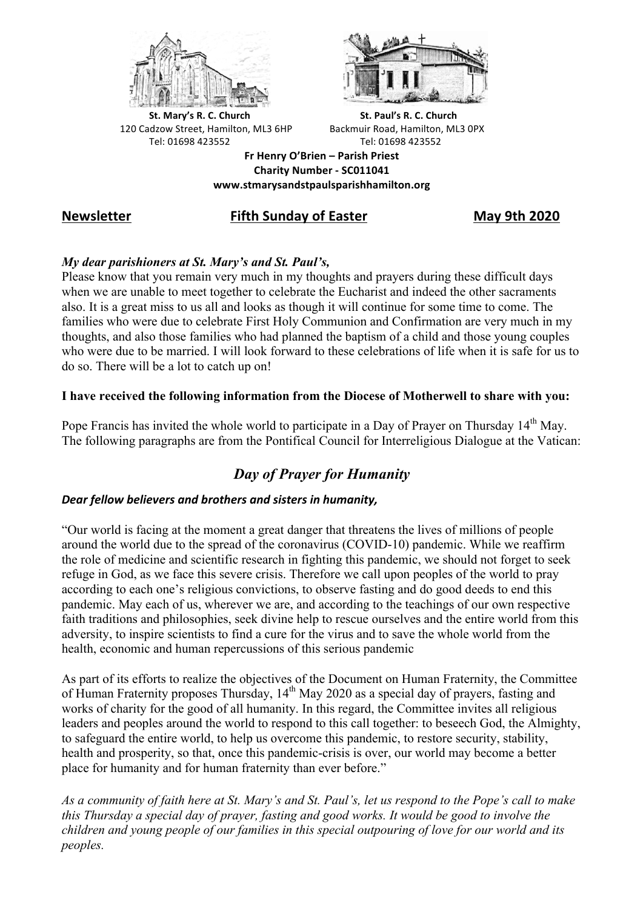



**St.** Mary's R. C. Church St. Paul's R. C. Church 120 Cadzow Street, Hamilton, ML3 6HP Backmuir Road, Hamilton, ML3 0PX Tel: 01698 423552 Tel: 01698 423552

**Fr Henry O'Brien – Parish Priest Charity Number - SC011041 www.stmarysandstpaulsparishhamilton.org**

## **Newsletter Fifth Sunday of Easter May 9th 2020**

## *My dear parishioners at St. Mary's and St. Paul's,*

Please know that you remain very much in my thoughts and prayers during these difficult days when we are unable to meet together to celebrate the Eucharist and indeed the other sacraments also. It is a great miss to us all and looks as though it will continue for some time to come. The families who were due to celebrate First Holy Communion and Confirmation are very much in my thoughts, and also those families who had planned the baptism of a child and those young couples who were due to be married. I will look forward to these celebrations of life when it is safe for us to do so. There will be a lot to catch up on!

## **I have received the following information from the Diocese of Motherwell to share with you:**

Pope Francis has invited the whole world to participate in a Day of Prayer on Thursday 14<sup>th</sup> May. The following paragraphs are from the Pontifical Council for Interreligious Dialogue at the Vatican:

# *Day of Prayer for Humanity*

## *Dear fellow believers and brothers and sisters in humanity,*

"Our world is facing at the moment a great danger that threatens the lives of millions of people around the world due to the spread of the coronavirus (COVID-10) pandemic. While we reaffirm the role of medicine and scientific research in fighting this pandemic, we should not forget to seek refuge in God, as we face this severe crisis. Therefore we call upon peoples of the world to pray according to each one's religious convictions, to observe fasting and do good deeds to end this pandemic. May each of us, wherever we are, and according to the teachings of our own respective faith traditions and philosophies, seek divine help to rescue ourselves and the entire world from this adversity, to inspire scientists to find a cure for the virus and to save the whole world from the health, economic and human repercussions of this serious pandemic

As part of its efforts to realize the objectives of the Document on Human Fraternity, the Committee of Human Fraternity proposes Thursday, 14<sup>th</sup> May 2020 as a special day of prayers, fasting and works of charity for the good of all humanity. In this regard, the Committee invites all religious leaders and peoples around the world to respond to this call together: to beseech God, the Almighty, to safeguard the entire world, to help us overcome this pandemic, to restore security, stability, health and prosperity, so that, once this pandemic-crisis is over, our world may become a better place for humanity and for human fraternity than ever before."

*As a community of faith here at St. Mary's and St. Paul's, let us respond to the Pope's call to make this Thursday a special day of prayer, fasting and good works. It would be good to involve the children and young people of our families in this special outpouring of love for our world and its peoples.*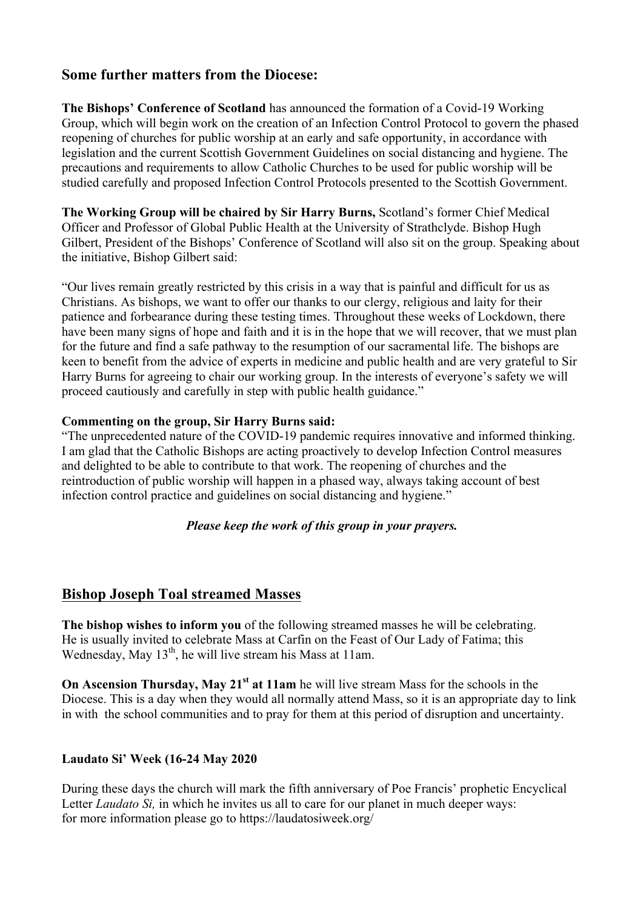## **Some further matters from the Diocese:**

**The Bishops' Conference of Scotland** has announced the formation of a Covid-19 Working Group, which will begin work on the creation of an Infection Control Protocol to govern the phased reopening of churches for public worship at an early and safe opportunity, in accordance with legislation and the current Scottish Government Guidelines on social distancing and hygiene. The precautions and requirements to allow Catholic Churches to be used for public worship will be studied carefully and proposed Infection Control Protocols presented to the Scottish Government.

**The Working Group will be chaired by Sir Harry Burns,** Scotland's former Chief Medical Officer and Professor of Global Public Health at the University of Strathclyde. Bishop Hugh Gilbert, President of the Bishops' Conference of Scotland will also sit on the group. Speaking about the initiative, Bishop Gilbert said:

"Our lives remain greatly restricted by this crisis in a way that is painful and difficult for us as Christians. As bishops, we want to offer our thanks to our clergy, religious and laity for their patience and forbearance during these testing times. Throughout these weeks of Lockdown, there have been many signs of hope and faith and it is in the hope that we will recover, that we must plan for the future and find a safe pathway to the resumption of our sacramental life. The bishops are keen to benefit from the advice of experts in medicine and public health and are very grateful to Sir Harry Burns for agreeing to chair our working group. In the interests of everyone's safety we will proceed cautiously and carefully in step with public health guidance."

### **Commenting on the group, Sir Harry Burns said:**

"The unprecedented nature of the COVID-19 pandemic requires innovative and informed thinking. I am glad that the Catholic Bishops are acting proactively to develop Infection Control measures and delighted to be able to contribute to that work. The reopening of churches and the reintroduction of public worship will happen in a phased way, always taking account of best infection control practice and guidelines on social distancing and hygiene."

### *Please keep the work of this group in your prayers.*

## **Bishop Joseph Toal streamed Masses**

**The bishop wishes to inform you** of the following streamed masses he will be celebrating. He is usually invited to celebrate Mass at Carfin on the Feast of Our Lady of Fatima; this Wednesday, May  $13<sup>th</sup>$ , he will live stream his Mass at 11am.

**On Ascension Thursday, May 21<sup>st</sup> at 11am** he will live stream Mass for the schools in the Diocese. This is a day when they would all normally attend Mass, so it is an appropriate day to link in with the school communities and to pray for them at this period of disruption and uncertainty.

#### **Laudato Si' Week (16-24 May 2020**

During these days the church will mark the fifth anniversary of Poe Francis' prophetic Encyclical Letter *Laudato Si*, in which he invites us all to care for our planet in much deeper ways: for more information please go to https://laudatosiweek.org/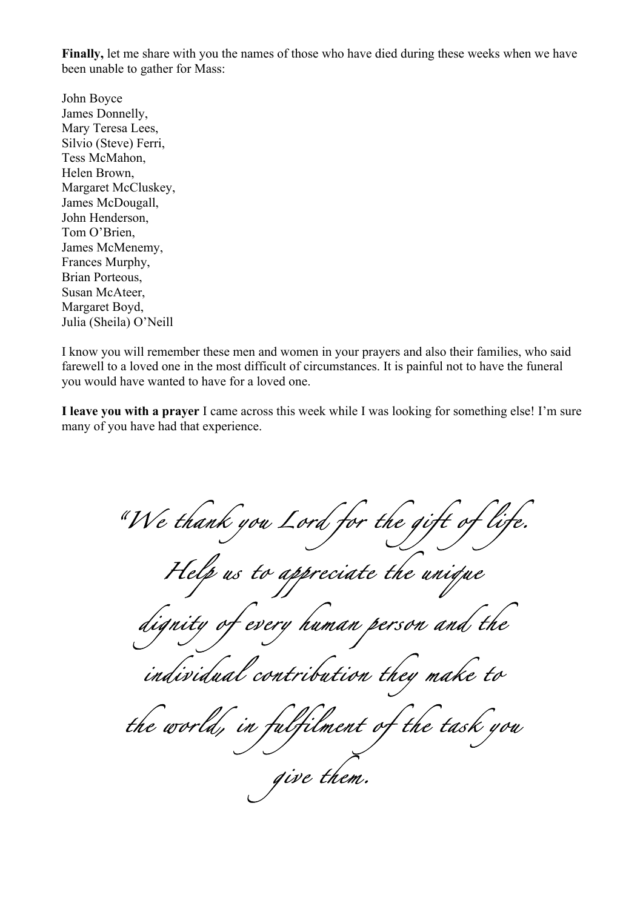**Finally,** let me share with you the names of those who have died during these weeks when we have been unable to gather for Mass:

John Boyce James Donnelly, Mary Teresa Lees, Silvio (Steve) Ferri, Tess McMahon, Helen Brown, Margaret McCluskey, James McDougall, John Henderson, Tom O'Brien, James McMenemy, Frances Murphy, Brian Porteous, Susan McAteer, Margaret Boyd, Julia (Sheila) O'Neill

I know you will remember these men and women in your prayers and also their families, who said farewell to a loved one in the most difficult of circumstances. It is painful not to have the funeral you would have wanted to have for a loved one.

**I leave you with a prayer** I came across this week while I was looking for something else! I'm sure many of you have had that experience.

*"We thank you Lord for the gift of life. Help us to appreciate the unique dignity of every human person and the individual contribution they make to the world, in fulfilment of the task you give them.*